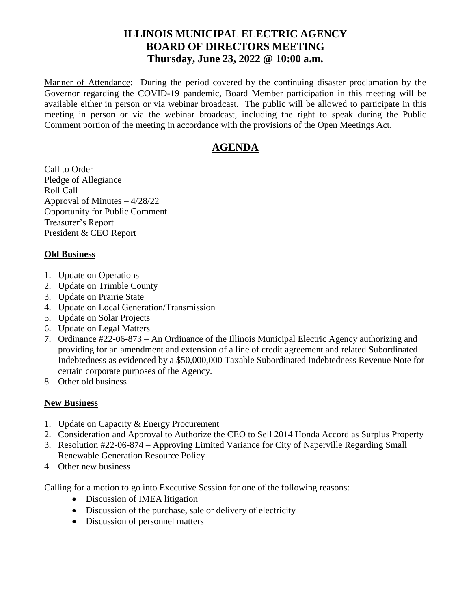## **ILLINOIS MUNICIPAL ELECTRIC AGENCY BOARD OF DIRECTORS MEETING Thursday, June 23, 2022 @ 10:00 a.m.**

Manner of Attendance: During the period covered by the continuing disaster proclamation by the Governor regarding the COVID-19 pandemic, Board Member participation in this meeting will be available either in person or via webinar broadcast. The public will be allowed to participate in this meeting in person or via the webinar broadcast, including the right to speak during the Public Comment portion of the meeting in accordance with the provisions of the Open Meetings Act.

# **AGENDA**

Call to Order Pledge of Allegiance Roll Call Approval of Minutes – 4/28/22 Opportunity for Public Comment Treasurer's Report President & CEO Report

### **Old Business**

- 1. Update on Operations
- 2. Update on Trimble County
- 3. Update on Prairie State
- 4. Update on Local Generation/Transmission
- 5. Update on Solar Projects
- 6. Update on Legal Matters
- 7. Ordinance #22-06-873 An Ordinance of the Illinois Municipal Electric Agency authorizing and providing for an amendment and extension of a line of credit agreement and related Subordinated Indebtedness as evidenced by a \$50,000,000 Taxable Subordinated Indebtedness Revenue Note for certain corporate purposes of the Agency.
- 8. Other old business

## **New Business**

- 1. Update on Capacity & Energy Procurement
- 2. Consideration and Approval to Authorize the CEO to Sell 2014 Honda Accord as Surplus Property
- 3. Resolution #22-06-874 Approving Limited Variance for City of Naperville Regarding Small Renewable Generation Resource Policy
- 4. Other new business

Calling for a motion to go into Executive Session for one of the following reasons:

- Discussion of IMEA litigation
- Discussion of the purchase, sale or delivery of electricity
- Discussion of personnel matters